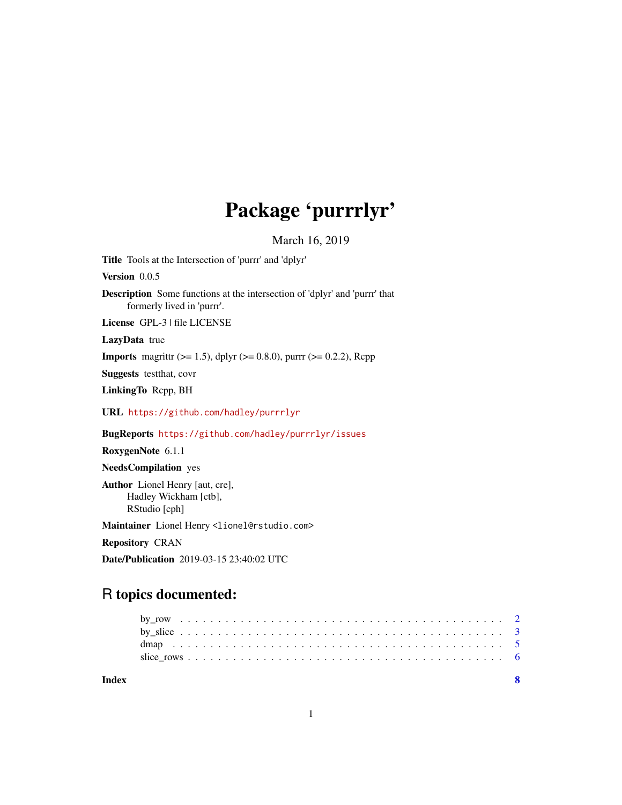# Package 'purrrlyr'

March 16, 2019

<span id="page-0-0"></span>Title Tools at the Intersection of 'purrr' and 'dplyr'

Version 0.0.5

Description Some functions at the intersection of 'dplyr' and 'purrr' that formerly lived in 'purrr'.

License GPL-3 | file LICENSE

LazyData true

**Imports** magrittr ( $>= 1.5$ ), dplyr ( $>= 0.8.0$ ), purrr ( $>= 0.2.2$ ), Rcpp

Suggests testthat, covr

LinkingTo Rcpp, BH

URL <https://github.com/hadley/purrrlyr>

BugReports <https://github.com/hadley/purrrlyr/issues>

RoxygenNote 6.1.1

NeedsCompilation yes

Author Lionel Henry [aut, cre], Hadley Wickham [ctb], RStudio [cph]

Maintainer Lionel Henry <lionel@rstudio.com>

Repository CRAN

Date/Publication 2019-03-15 23:40:02 UTC

# R topics documented:

**Index** [8](#page-7-0) **8**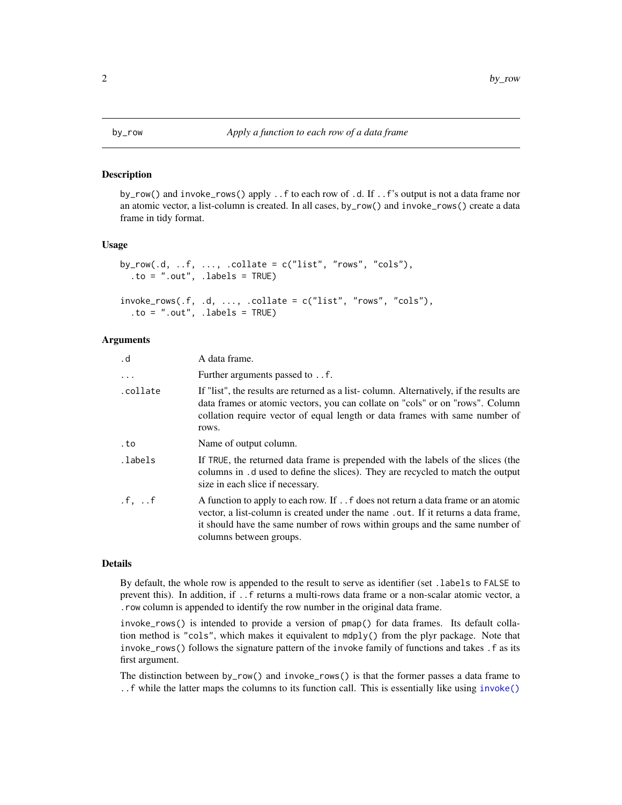<span id="page-1-1"></span><span id="page-1-0"></span>

#### Description

by\_row() and invoke\_rows() apply ..f to each row of .d. If ..f's output is not a data frame nor an atomic vector, a list-column is created. In all cases, by\_row() and invoke\_rows() create a data frame in tidy format.

#### Usage

```
by_{\text{row}}(d, ..., f, ..., .collate = c("list", "rows", "cols"),to = ".out", .labels = TRUE)
invoke\_rows(.f, .d, . . ., .collate = c("list", "rows", "cols"),
```

```
to = ".out", .labels = TRUE)
```
#### Arguments

| . d      | A data frame.                                                                                                                                                                                                                                                                  |
|----------|--------------------------------------------------------------------------------------------------------------------------------------------------------------------------------------------------------------------------------------------------------------------------------|
| $\ddots$ | Further arguments passed to f.                                                                                                                                                                                                                                                 |
| .collate | If "list", the results are returned as a list-column. Alternatively, if the results are<br>data frames or atomic vectors, you can collate on "cols" or on "rows". Column<br>collation require vector of equal length or data frames with same number of<br>rows.               |
| .to      | Name of output column.                                                                                                                                                                                                                                                         |
| .labels  | If TRUE, the returned data frame is prepended with the labels of the slices (the<br>columns in .d used to define the slices). They are recycled to match the output<br>size in each slice if necessary.                                                                        |
| .f, f    | A function to apply to each row. If f does not return a data frame or an atomic<br>vector, a list-column is created under the name .out. If it returns a data frame,<br>it should have the same number of rows within groups and the same number of<br>columns between groups. |

#### Details

By default, the whole row is appended to the result to serve as identifier (set .labels to FALSE to prevent this). In addition, if ..f returns a multi-rows data frame or a non-scalar atomic vector, a .row column is appended to identify the row number in the original data frame.

invoke\_rows() is intended to provide a version of pmap() for data frames. Its default collation method is "cols", which makes it equivalent to mdply() from the plyr package. Note that invoke\_rows() follows the signature pattern of the invoke family of functions and takes .f as its first argument.

The distinction between by\_row() and invoke\_rows() is that the former passes a data frame to ..f while the latter maps the columns to its function call. This is essentially like using [invoke\(\)](#page-0-0)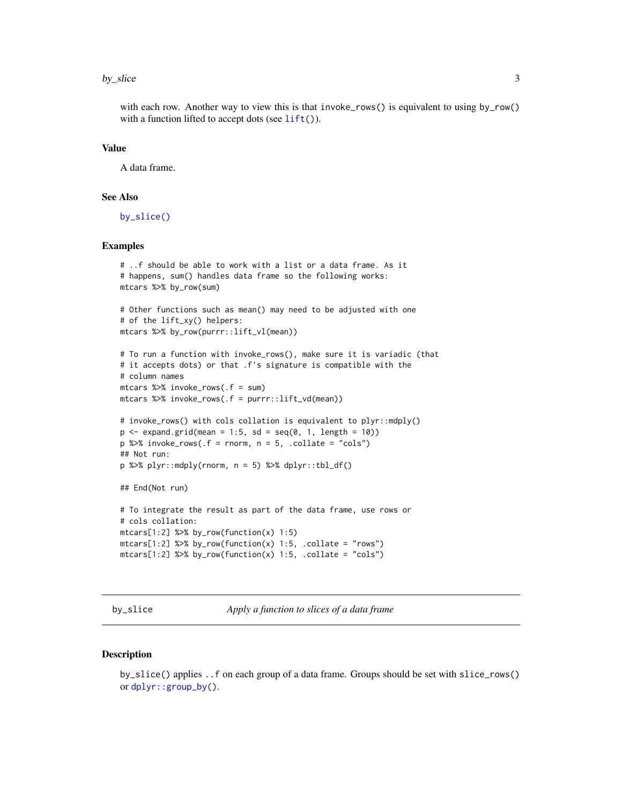#### <span id="page-2-0"></span>by\_slice 3

with each row. Another way to view this is that invoke\_rows() is equivalent to using by\_row() with a function lifted to accept dots (see  $lift()$ ).

#### Value

A data frame.

# See Also

[by\\_slice\(\)](#page-2-1)

#### Examples

```
# ..f should be able to work with a list or a data frame. As it
# happens, sum() handles data frame so the following works:
mtcars %>% by_row(sum)
# Other functions such as mean() may need to be adjusted with one
# of the lift_xy() helpers:
mtcars %>% by_row(purrr::lift_vl(mean))
# To run a function with invoke_rows(), make sure it is variadic (that
# it accepts dots) or that .f's signature is compatible with the
# column names
mtcars %>% invoke_rows(.f = sum)
mtcars %>% invoke_rows(.f = purrr::lift_vd(mean))
# invoke_rows() with cols collation is equivalent to plyr::mdply()
p \le - expand.grid(mean = 1:5, sd = seq(0, 1, length = 10))
p %>% invoke_rows(.f = rnorm, n = 5, .collate = "cols")
## Not run:
p %>% plyr::mdply(rnorm, n = 5) %>% dplyr::tbl_df()
## End(Not run)
# To integrate the result as part of the data frame, use rows or
# cols collation:
mtcars[1:2] %>% by_row(function(x) 1:5)
mtcars[1:2] % by_row(function(x) 1:5, .collate = "rows")
mtcars[1:2] %>% by_row(function(x) 1:5, .collate = "cols")
```
<span id="page-2-1"></span>by\_slice *Apply a function to slices of a data frame*

#### Description

by\_slice() applies ..f on each group of a data frame. Groups should be set with slice\_rows() or [dplyr::group\\_by\(\)](#page-0-0).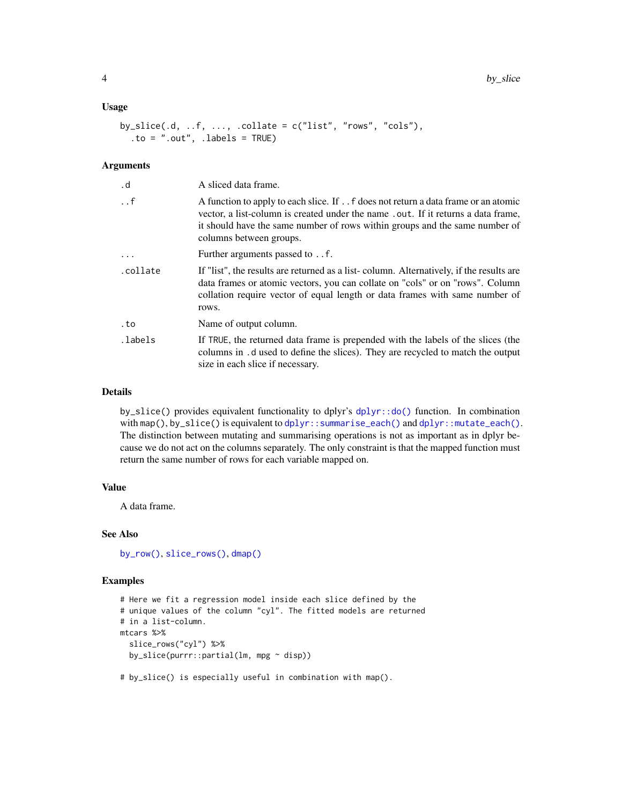#### <span id="page-3-0"></span>Usage

```
by_slice(.d, ..f, ..., .collate = c("list", "rows", "cols"),
  to = ".out", .labels = TRUE)
```
#### Arguments

| . d                   | A sliced data frame.                                                                                                                                                                                                                                                              |
|-----------------------|-----------------------------------------------------------------------------------------------------------------------------------------------------------------------------------------------------------------------------------------------------------------------------------|
| $\cdot$ . $\mathsf f$ | A function to apply to each slice. If f does not return a data frame or an atomic<br>vector, a list-column is created under the name . out. If it returns a data frame,<br>it should have the same number of rows within groups and the same number of<br>columns between groups. |
| $\ddots$              | Further arguments passed to f.                                                                                                                                                                                                                                                    |
| .collate              | If "list", the results are returned as a list-column. Alternatively, if the results are<br>data frames or atomic vectors, you can collate on "cols" or on "rows". Column<br>collation require vector of equal length or data frames with same number of<br>rows.                  |
| . to                  | Name of output column.                                                                                                                                                                                                                                                            |
| .labels               | If TRUE, the returned data frame is prepended with the labels of the slices (the<br>columns in .d used to define the slices). They are recycled to match the output<br>size in each slice if necessary.                                                                           |

#### Details

by\_slice() provides equivalent functionality to dplyr's [dplyr::do\(\)](#page-0-0) function. In combination with map(), by\_slice() is equivalent to [dplyr::summarise\\_each\(\)](#page-0-0) and [dplyr::mutate\\_each\(\)](#page-0-0). The distinction between mutating and summarising operations is not as important as in dplyr because we do not act on the columns separately. The only constraint is that the mapped function must return the same number of rows for each variable mapped on.

### Value

A data frame.

#### See Also

[by\\_row\(\)](#page-1-1), [slice\\_rows\(\)](#page-5-1), [dmap\(\)](#page-4-1)

## Examples

```
# Here we fit a regression model inside each slice defined by the
# unique values of the column "cyl". The fitted models are returned
# in a list-column.
mtcars %>%
  slice_rows("cyl") %>%
  by_slice(purrr::partial(lm, mpg ~ disp))
```
# by\_slice() is especially useful in combination with map().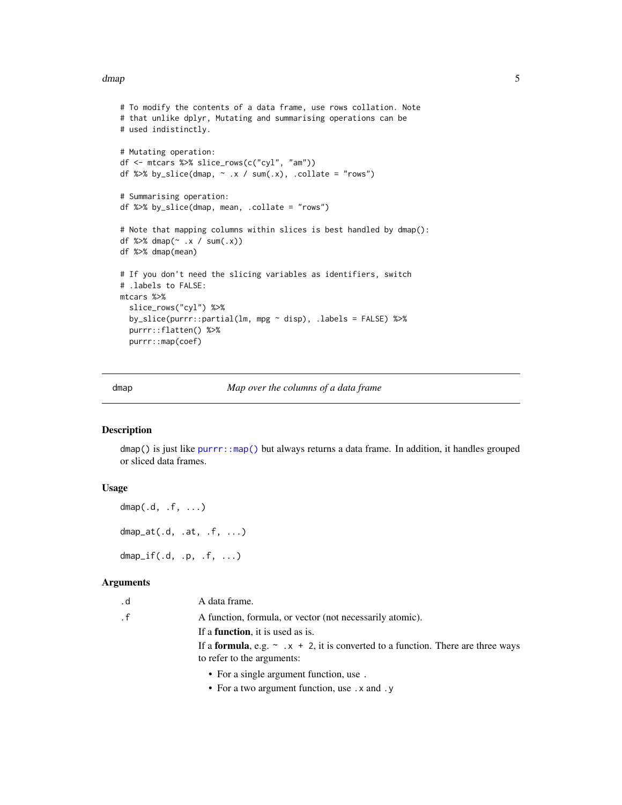#### <span id="page-4-0"></span>dmap 5 and 5 and 5 and 5 and 5 and 5 and 6 and 6 and 6 and 6 and 6 and 6 and 6 and 6 and 6 and 6 and 6 and 6 and 6 and 6 and 6 and 6 and 6 and 6 and 6 and 6 and 6 and 6 and 6 and 6 and 6 and 6 and 6 and 6 and 6 and 6 and 6

```
# To modify the contents of a data frame, use rows collation. Note
# that unlike dplyr, Mutating and summarising operations can be
# used indistinctly.
# Mutating operation:
df <- mtcars %>% slice_rows(c("cyl", "am"))
df %>% by_slice(dmap, \sim .x / sum(.x), .collate = "rows")
# Summarising operation:
df %>% by_slice(dmap, mean, .collate = "rows")
# Note that mapping columns within slices is best handled by dmap():
df %>% dmap(~ .x / sum(.x))
df %>% dmap(mean)
# If you don't need the slicing variables as identifiers, switch
# .labels to FALSE:
mtcars %>%
  slice_rows("cyl") %>%
  by_slice(purrr::partial(lm, mpg ~ disp), .labels = FALSE) %>%
  purrr::flatten() %>%
  purrr::map(coef)
```
<span id="page-4-1"></span>

dmap *Map over the columns of a data frame*

## Description

dmap() is just like [purrr::map\(\)](#page-0-0) but always returns a data frame. In addition, it handles grouped or sliced data frames.

#### Usage

```
dmap(.d, .f, . . .)dmap_at(.d, .at, .f, ...)dmap_{i} if (d, p, f, \ldots)
```
#### Arguments

| . d       | A data frame.                                                                                 |
|-----------|-----------------------------------------------------------------------------------------------|
| $\cdot$ f | A function, formula, or vector (not necessarily atomic).                                      |
|           | If a <b>function</b> , it is used as is.                                                      |
|           | If a <b>formula</b> , e.g. $\sim x + 2$ , it is converted to a function. There are three ways |
|           | to refer to the arguments:                                                                    |
|           | • For a single argument function, use.                                                        |

- 
- For a two argument function, use .x and .y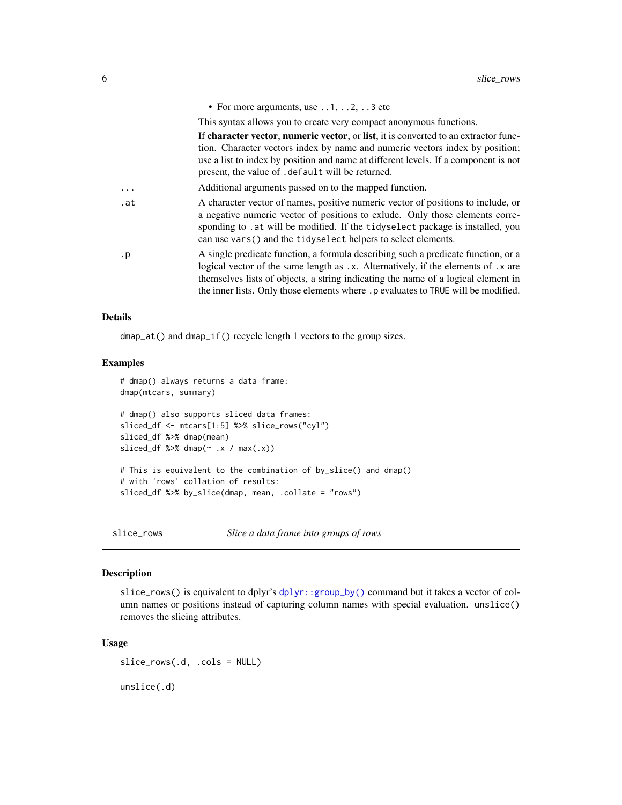<span id="page-5-0"></span>

|           | • For more arguments, use $\dots$ 1, $\dots$ 2, $\dots$ 3 etc                                                                                                                                                                                                                                                                                    |
|-----------|--------------------------------------------------------------------------------------------------------------------------------------------------------------------------------------------------------------------------------------------------------------------------------------------------------------------------------------------------|
|           | This syntax allows you to create very compact anonymous functions.                                                                                                                                                                                                                                                                               |
|           | If character vector, numeric vector, or list, it is converted to an extractor func-<br>tion. Character vectors index by name and numeric vectors index by position;<br>use a list to index by position and name at different levels. If a component is not<br>present, the value of . default will be returned.                                  |
| .         | Additional arguments passed on to the mapped function.                                                                                                                                                                                                                                                                                           |
| .at       | A character vector of names, positive numeric vector of positions to include, or<br>a negative numeric vector of positions to exlude. Only those elements corre-<br>sponding to . at will be modified. If the tidyselect package is installed, you<br>can use vars () and the tidy select helpers to select elements.                            |
| $\cdot$ p | A single predicate function, a formula describing such a predicate function, or a<br>logical vector of the same length as .x. Alternatively, if the elements of .x are<br>themselves lists of objects, a string indicating the name of a logical element in<br>the inner lists. Only those elements where .p evaluates to TRUE will be modified. |

#### Details

dmap\_at() and dmap\_if() recycle length 1 vectors to the group sizes.

#### Examples

```
# dmap() always returns a data frame:
dmap(mtcars, summary)
# dmap() also supports sliced data frames:
sliced_df <- mtcars[1:5] %>% slice_rows("cyl")
sliced_df %>% dmap(mean)
sliced_df %>% dmap(\sim .x / max(.x))# This is equivalent to the combination of by_slice() and dmap()
# with 'rows' collation of results:
sliced_df %>% by_slice(dmap, mean, .collate = "rows")
```
<span id="page-5-1"></span>

slice\_rows *Slice a data frame into groups of rows*

#### Description

slice\_rows() is equivalent to dplyr's [dplyr::group\\_by\(\)](#page-0-0) command but it takes a vector of column names or positions instead of capturing column names with special evaluation. unslice() removes the slicing attributes.

## Usage

slice\_rows(.d, .cols = NULL)

unslice(.d)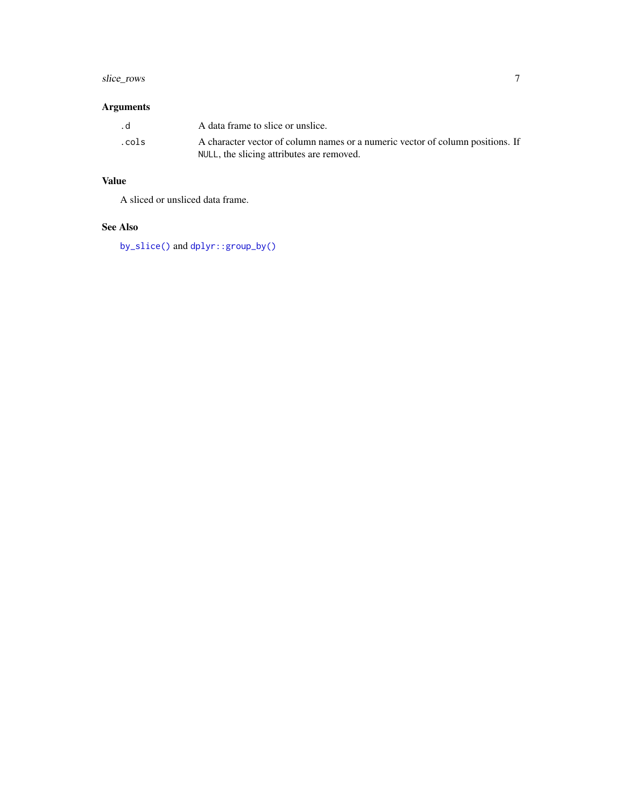# <span id="page-6-0"></span>slice\_rows 7

# Arguments

| . d   | A data frame to slice or unslice.                                                                                           |
|-------|-----------------------------------------------------------------------------------------------------------------------------|
| .cols | A character vector of column names or a numeric vector of column positions. If<br>NULL, the slicing attributes are removed. |

# Value

A sliced or unsliced data frame.

# See Also

[by\\_slice\(\)](#page-2-1) and [dplyr::group\\_by\(\)](#page-0-0)